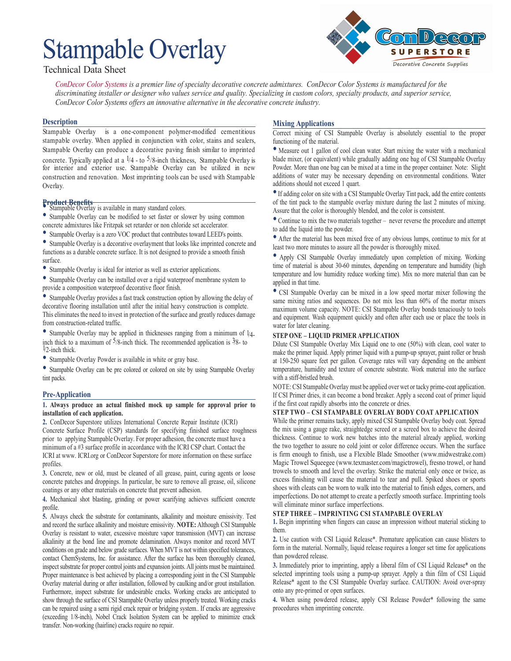# Stampable Overlay



# Technical Data Sheet

*ConDecor Color Systems is a premier line of specialty decorative concrete admixtures. ConDecor Color Systems is manufactured for the discriminating installer or designer who values service and quality. Specializing in custom colors, specialty products, and superior service, ConDecor Color Systems offers an innovative alternative in the decorative concrete industry.*

# **Description**

Stampable Overlay is a one-component polymer-modified cementitious stampable overlay. When applied in conjunction with color, stains and sealers, Stampable Overlay can produce a decorative paving finish similar to imprinted concrete. Typically applied at a  $\frac{1}{4}$  - to 5/8-inch thickness, Stampable Overlay is for interior and exterior use. Stampable Overlay can be utilized in new construction and renovation. Most imprinting tools can be used with Stampable Overlay.

- **Product Benefits** Stampable Overlay is available in many standard colors.
- Stampable Overlay can be modified to set faster or slower by using common concrete admixtures like Fritzpak set retarder or non chloride set accelerator.
- Stampable Overlay is a zero VOC product that contributes toward LEED's points.

• Stampable Overlay is a decorative overlayment that looks like imprinted concrete and functions as a durable concrete surface. It is not designed to provide a smooth finish surface.

• Stampable Overlay is ideal for interior as well as exterior applications.

• Stampable Overlay can be installed over a rigid waterproof membrane system to provide a composition waterproof decorative floor finish.

• Stampable Overlay provides a fast track construction option by allowing the delay of decorative flooring installation until after the initial heavy construction is complete. This eliminates the need to invest in protection of the surface and greatly reduces damage from construction-related traffic.

• Stampable Overlay may be applied in thicknesses ranging from a minimum of 1/4 inch thick to a maximum of  $5/8$ -inch thick. The recommended application is  $3/8$ - to 1/2-inch thick.

• Stampable Overlay Powder is available in white or gray base.

• Stampable Overlay can be pre colored or colored on site by using Stampable Overlay tint packs.

# **Pre-Application**

#### **1. Always produce an actual finished mock up sample for approval prior to installation of each application.**

**2.** ConDecor Superstore utilizes International Concrete Repair Institute (ICRI) Concrete Surface Profile (CSP) standards for specifying finished surface roughness prior to applying Stampable Overlay. For proper adhesion, the concrete must have a minimum of a #3 surface profile in accordance with the ICRI CSP chart. Contact the ICRI at www. ICRI.org or ConDecor Superstore for more information on these surface profiles.

**3.** Concrete, new or old, must be cleaned of all grease, paint, curing agents or loose concrete patches and droppings. In particular, be sure to remove all grease, oil, silicone coatings or any other materials on concrete that prevent adhesion.

**4.** Mechanical shot blasting, grinding or power scarifying achieves sufficient concrete profile.

**5.** Always check the substrate for contaminants, alkalinity and moisture emissivity. Test and record the surface alkalinity and moisture emissivity. **NOTE:** Although CSI Stampable Overlay is resistant to water, excessive moisture vapor transmission (MVT) can increase alkalinity at the bond line and promote delamination. Always monitor and record MVT conditions on grade and below grade surfaces. When MVT is not within specified tolerances, contact ChemSystems, Inc. for assistance. After the surface has been thoroughly cleaned, inspect substrate for proper control joints and expansion joints. All joints must be maintained. Proper maintenance is best achieved by placing a corresponding joint in the CSI Stampable Overlay material during or after installation, followed by caulking and/or grout installation. Furthermore, inspect substrate for undesirable cracks. Working cracks are anticipated to show through the surface of CSI Stampable Overlay unless properly treated. Working cracks can be repaired using a semi rigid crack repair or bridging system.. If cracks are aggressive (exceeding 1/8-inch), Nobel Crack Isolation System can be applied to minimize crack transfer. Non-working (hairline) cracks require no repair.

# **Mixing Applications**

Correct mixing of CSI Stampable Overlay is absolutely essential to the proper functioning of the material.

• Measure out 1 gallon of cool clean water. Start mixing the water with a mechanical blade mixer, (or equivalent) while gradually adding one bag of CSI Stampable Overlay Powder. More than one bag can be mixed at a time in the proper container. Note: Slight additions of water may be necessary depending on environmental conditions. Water additions should not exceed 1 quart.

•If adding color on site with a CSI Stampable Overlay Tint pack, add the entire contents of the tint pack to the stampable overlay mixture during the last 2 minutes of mixing. Assure that the color is thoroughly blended, and the color is consistent.

• Continue to mix the two materials together – never reverse the procedure and attempt to add the liquid into the powder.

• After the material has been mixed free of any obvious lumps, continue to mix for at least two more minutes to assure all the powder is thoroughly mixed.

• Apply CSI Stampable Overlay immediately upon completion of mixing. Working time of material is about 30-60 minutes, depending on temperature and humidity (high temperature and low humidity reduce working time). Mix no more material than can be applied in that time.

• CSI Stampable Overlay can be mixed in a low speed mortar mixer following the same mixing ratios and sequences. Do not mix less than 60% of the mortar mixers maximum volume capacity. NOTE: CSI Stampable Overlay bonds tenaciously to tools and equipment. Wash equipment quickly and often after each use or place the tools in water for later cleaning.

#### **STEP ONE – LIQUID PRIMER APPLICATION**

Dilute CSI Stampable Overlay Mix Liquid one to one (50%) with clean, cool water to make the primer liquid. Apply primer liquid with a pump-up sprayer, paint roller or brush at 150-250 square feet per gallon. Coverage rates will vary depending on the ambient temperature, humidity and texture of concrete substrate. Work material into the surface with a stiff-bristled brush.

NOTE: CSI Stampable Overlay must be applied over wet or tacky prime-coat application. If CSI Primer dries, it can become a bond breaker. Apply a second coat of primer liquid if the first coat rapidly absorbs into the concrete or dries.

#### **STEP TWO – CSI STAMPABLE OVERLAY BODY COAT APPLICATION**

While the primer remains tacky, apply mixed CSI Stampable Overlay body coat. Spread the mix using a gauge rake, straightedge screed or a screed box to achieve the desired thickness. Continue to work new batches into the material already applied, working the two together to assure no cold joint or color difference occurs. When the surface is firm enough to finish, use a Flexible Blade Smoother (www.midwestrake.com) Magic Trowel Squeegee (www.texmaster.com/magictrowel), fresno trowel, or hand trowels to smooth and level the overlay. Strike the material only once or twice, as excess finishing will cause the material to tear and pull. Spiked shoes or sports shoes with cleats can be worn to walk into the material to finish edges, corners, and imperfections. Do not attempt to create a perfectly smooth surface. Imprinting tools will eliminate minor surface imperfections.

# **STEP THREE – IMPRINTING CSI STAMPABLE OVERLAY**

**1.** Begin imprinting when fingers can cause an impression without material sticking to them.

**2.** Use caution with CSI Liquid Release\*. Premature application can cause blisters to form in the material. Normally, liquid release requires a longer set time for applications than powdered release.

**3.** Immediately prior to imprinting, apply a liberal film of CSI Liquid Release\* on the selected imprinting tools using a pump-up sprayer. Apply a thin film of CSI Liquid Release\* agent to the CSI Stampable Overlay surface. CAUTION: Avoid over-spray onto any pre-primed or open surfaces.

**4.** When using powdered release, apply CSI Release Powder\* following the same procedures when imprinting concrete.